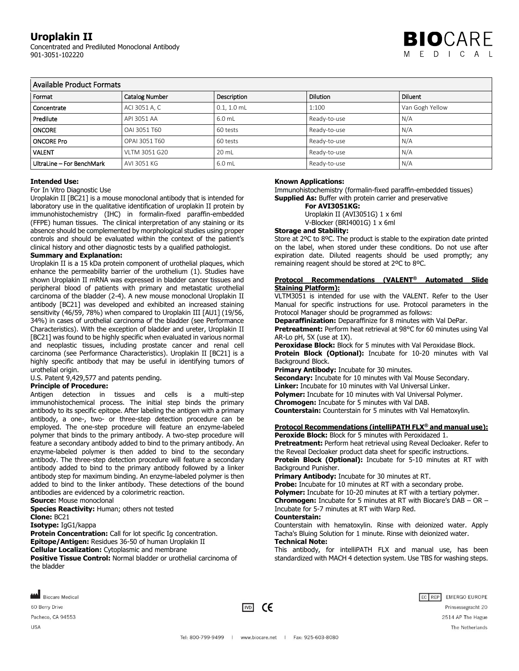# **Uroplakin II**

Concentrated and Prediluted Monoclonal Antibody 901-3051-102220



# Available Product Formats

| Format                    | <b>Catalog Number</b> | Description   | <b>Dilution</b> | Diluent         |  |  |
|---------------------------|-----------------------|---------------|-----------------|-----------------|--|--|
| Concentrate               | ACI 3051 A, C         | $0.1, 1.0$ mL | 1:100           | Van Gogh Yellow |  |  |
| Predilute                 | API 3051 AA           | 6.0 mL        | Ready-to-use    | N/A             |  |  |
| <b>ONCORE</b>             | OAI 3051 T60          | 60 tests      | Ready-to-use    | N/A             |  |  |
| <b>ONCORE Pro</b>         | OPAI 3051 T60         | 60 tests      | Ready-to-use    | N/A             |  |  |
| <b>VALENT</b>             | VLTM 3051 G20         | 20 mL         | Ready-to-use    | N/A             |  |  |
| UltraLine - For BenchMark | AVI 3051 KG           | 6.0 mL        | Ready-to-use    | N/A             |  |  |

### **Intended Use:**

#### For In Vitro Diagnostic Use

Uroplakin II [BC21] is a mouse monoclonal antibody that is intended for laboratory use in the qualitative identification of uroplakin II protein by immunohistochemistry (IHC) in formalin-fixed paraffin-embedded (FFPE) human tissues. The clinical interpretation of any staining or its absence should be complemented by morphological studies using proper controls and should be evaluated within the context of the patient's clinical history and other diagnostic tests by a qualified pathologist.

# **Summary and Explanation:**

Uroplakin II is a 15 kDa protein component of urothelial plaques, which enhance the permeability barrier of the urothelium (1). Studies have shown Uroplakin II mRNA was expressed in bladder cancer tissues and peripheral blood of patients with primary and metastatic urothelial carcinoma of the bladder (2-4). A new mouse monoclonal Uroplakin II antibody [BC21] was developed and exhibited an increased staining sensitivity (46/59, 78%) when compared to Uroplakin III [AU1] (19/56, 34%) in cases of urothelial carcinoma of the bladder (see Performance Characteristics). With the exception of bladder and ureter, Uroplakin II [BC21] was found to be highly specific when evaluated in various normal and neoplastic tissues, including prostate cancer and renal cell carcinoma (see Performance Characteristics). Uroplakin II [BC21] is a highly specific antibody that may be useful in identifying tumors of urothelial origin.

U.S. Patent 9,429,577 and patents pending.

# **Principle of Procedure:**

Antigen detection in tissues and cells is a multi-step immunohistochemical process. The initial step binds the primary antibody to its specific epitope. After labeling the antigen with a primary antibody, a one-, two- or three-step detection procedure can be employed. The one-step procedure will feature an enzyme-labeled polymer that binds to the primary antibody. A two-step procedure will feature a secondary antibody added to bind to the primary antibody. An enzyme-labeled polymer is then added to bind to the secondary antibody. The three-step detection procedure will feature a secondary antibody added to bind to the primary antibody followed by a linker antibody step for maximum binding. An enzyme-labeled polymer is then added to bind to the linker antibody. These detections of the bound antibodies are evidenced by a colorimetric reaction.

**Source:** Mouse monoclonal

**Species Reactivity:** Human; others not tested

**Clone:** BC21

**Isotype:** IgG1/kappa

**Protein Concentration:** Call for lot specific Ig concentration. **Epitope/Antigen:** Residues 36-50 of human Uroplakin II

**Cellular Localization:** Cytoplasmic and membrane

**Positive Tissue Control: Normal bladder or urothelial carcinoma of** the bladder

# **Known Applications:**

Immunohistochemistry (formalin-fixed paraffin-embedded tissues) **Supplied As:** Buffer with protein carrier and preservative

**For AVI3051KG:** Uroplakin II (AVI3051G) 1 x 6ml

V-Blocker (BRI4001G) 1 x 6ml

# **Storage and Stability:**

Store at 2ºC to 8ºC. The product is stable to the expiration date printed on the label, when stored under these conditions. Do not use after expiration date. Diluted reagents should be used promptly; any remaining reagent should be stored at 2ºC to 8ºC.

# **Protocol Recommendations (VALENT® Automated Slide Staining Platform):**

VLTM3051 is intended for use with the VALENT. Refer to the User Manual for specific instructions for use. Protocol parameters in the Protocol Manager should be programmed as follows:

**Deparaffinization:** Deparaffinize for 8 minutes with Val DePar.

**Pretreatment:** Perform heat retrieval at 98°C for 60 minutes using Val AR-Lo pH, 5X (use at 1X).

**Peroxidase Block:** Block for 5 minutes with Val Peroxidase Block. **Protein Block (Optional):** Incubate for 10-20 minutes with Val

Background Block.

**Primary Antibody:** Incubate for 30 minutes.

**Secondary:** Incubate for 10 minutes with Val Mouse Secondary. **Linker:** Incubate for 10 minutes with Val Universal Linker. **Polymer:** Incubate for 10 minutes with Val Universal Polymer. **Chromogen:** Incubate for 5 minutes with Val DAB. **Counterstain:** Counterstain for 5 minutes with Val Hematoxylin.

# **Protocol Recommendations (intelliPATH FLX® and manual use):**

**Peroxide Block:** Block for 5 minutes with Peroxidazed 1. **Pretreatment:** Perform heat retrieval using Reveal Decloaker. Refer to the Reveal Decloaker product data sheet for specific instructions. **Protein Block (Optional):** Incubate for 5-10 minutes at RT with

Background Punisher.

**Primary Antibody:** Incubate for 30 minutes at RT.

**Probe:** Incubate for 10 minutes at RT with a secondary probe.

**Polymer:** Incubate for 10-20 minutes at RT with a tertiary polymer. **Chromogen:** Incubate for 5 minutes at RT with Biocare's DAB – OR – Incubate for 5-7 minutes at RT with Warp Red.

#### **Counterstain:**

Counterstain with hematoxylin. Rinse with deionized water. Apply Tacha's Bluing Solution for 1 minute. Rinse with deionized water. **Technical Note:**

This antibody, for intelliPATH FLX and manual use, has been standardized with MACH 4 detection system. Use TBS for washing steps.



60 Berry Drive

Pacheco, CA 94553 **USA** 



EC REP EMERGO EUROPE Prinsessegracht 20 2514 AP The Hague The Netherlands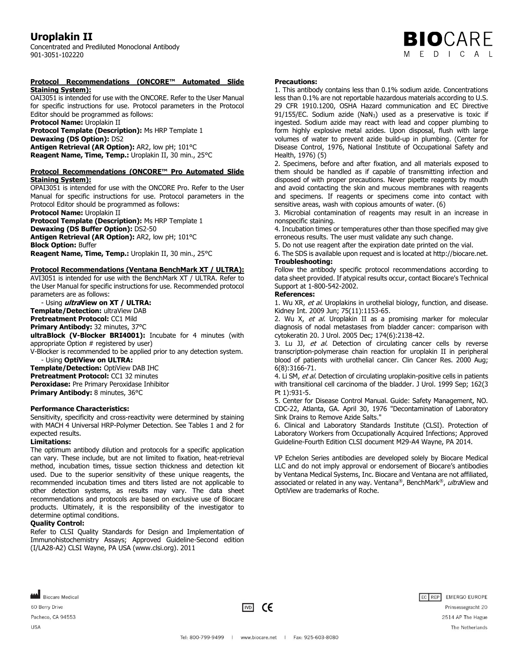# **Uroplakin II**

Concentrated and Prediluted Monoclonal Antibody 901-3051-102220

#### **Protocol Recommendations (ONCORE™ Automated Slide Staining System):**

OAI3051 is intended for use with the ONCORE. Refer to the User Manual for specific instructions for use. Protocol parameters in the Protocol Editor should be programmed as follows:

**Protocol Name:** Uroplakin II

**Protocol Template (Description):** Ms HRP Template 1 **Dewaxing (DS Option):** DS2 **Antigen Retrieval (AR Option):** AR2, low pH; 101°C

**Reagent Name, Time, Temp.:** Uroplakin II, 30 min., 25°C

### **Protocol Recommendations (ONCORE™ Pro Automated Slide Staining System):**

OPAI3051 is intended for use with the ONCORE Pro. Refer to the User Manual for specific instructions for use. Protocol parameters in the Protocol Editor should be programmed as follows:

**Protocol Name:** Uroplakin II **Protocol Template (Description):** Ms HRP Template 1 **Dewaxing (DS Buffer Option):** DS2-50 **Antigen Retrieval (AR Option):** AR2, low pH; 101°C **Block Option:** Buffer

**Reagent Name, Time, Temp.:** Uroplakin II, 30 min., 25°C

# **Protocol Recommendations (Ventana BenchMark XT / ULTRA):**

AVI3051 is intended for use with the BenchMark XT / ULTRA. Refer to the User Manual for specific instructions for use. Recommended protocol parameters are as follows:

 - Using **ultraView on XT / ULTRA: Template/Detection:** ultraView DAB **Pretreatment Protocol:** CC1 Mild **Primary Antibody:** 32 minutes, 37°C **ultraBlock (V-Blocker BRI4001):** Incubate for 4 minutes (with appropriate Option # registered by user)

V-Blocker is recommended to be applied prior to any detection system. - Using **OptiView on ULTRA:**

**Template/Detection:** OptiView DAB IHC **Pretreatment Protocol: CC1 32 minutes Peroxidase:** Pre Primary Peroxidase Inhibitor **Primary Antibody:** 8 minutes, 36°C

# **Performance Characteristics:**

Sensitivity, specificity and cross-reactivity were determined by staining with MACH 4 Universal HRP-Polymer Detection. See Tables 1 and 2 for expected results.

# **Limitations:**

The optimum antibody dilution and protocols for a specific application can vary. These include, but are not limited to fixation, heat-retrieval method, incubation times, tissue section thickness and detection kit used. Due to the superior sensitivity of these unique reagents, the recommended incubation times and titers listed are not applicable to other detection systems, as results may vary. The data sheet recommendations and protocols are based on exclusive use of Biocare products. Ultimately, it is the responsibility of the investigator to determine optimal conditions.

### **Quality Control:**

Refer to CLSI Quality Standards for Design and Implementation of Immunohistochemistry Assays; Approved Guideline-Second edition (I/LA28-A2) CLSI Wayne, PA USA (www.clsi.org). 2011

### **Precautions:**

1. This antibody contains less than 0.1% sodium azide. Concentrations less than 0.1% are not reportable hazardous materials according to U.S. 29 CFR 1910.1200, OSHA Hazard communication and EC Directive 91/155/EC. Sodium azide (NaN<sub>3</sub>) used as a preservative is toxic if ingested. Sodium azide may react with lead and copper plumbing to form highly explosive metal azides. Upon disposal, flush with large volumes of water to prevent azide build-up in plumbing. (Center for Disease Control, 1976, National Institute of Occupational Safety and Health, 1976) (5)

**BIO**CARE M F D I C A I

2. Specimens, before and after fixation, and all materials exposed to them should be handled as if capable of transmitting infection and disposed of with proper precautions. Never pipette reagents by mouth and avoid contacting the skin and mucous membranes with reagents and specimens. If reagents or specimens come into contact with sensitive areas, wash with copious amounts of water. (6)

3. Microbial contamination of reagents may result in an increase in nonspecific staining.

4. Incubation times or temperatures other than those specified may give erroneous results. The user must validate any such change.

5. Do not use reagent after the expiration date printed on the vial.

6. The SDS is available upon request and is located at http://biocare.net. **Troubleshooting:**

Follow the antibody specific protocol recommendations according to data sheet provided. If atypical results occur, contact Biocare's Technical Support at 1-800-542-2002.

# **References:**

1. Wu XR, et al. Uroplakins in urothelial biology, function, and disease. Kidney Int. 2009 Jun; 75(11):1153-65.

2. Wu X, et al. Uroplakin II as a promising marker for molecular diagnosis of nodal metastases from bladder cancer: comparison with cytokeratin 20. J Urol. 2005 Dec; 174(6):2138-42.

3. Lu JJ, et al. Detection of circulating cancer cells by reverse transcription-polymerase chain reaction for uroplakin II in peripheral blood of patients with urothelial cancer. Clin Cancer Res. 2000 Aug; 6(8):3166-71.

4. Li SM, et al. Detection of circulating uroplakin-positive cells in patients with transitional cell carcinoma of the bladder. J Urol. 1999 Sep; 162(3 Pt 1):931-5.

5. Center for Disease Control Manual. Guide: Safety Management, NO. CDC-22, Atlanta, GA. April 30, 1976 "Decontamination of Laboratory Sink Drains to Remove Azide Salts."

6. Clinical and Laboratory Standards Institute (CLSI). Protection of Laboratory Workers from Occupationally Acquired Infections; Approved Guideline-Fourth Edition CLSI document M29-A4 Wayne, PA 2014.

VP Echelon Series antibodies are developed solely by Biocare Medical LLC and do not imply approval or endorsement of Biocare's antibodies by Ventana Medical Systems, Inc. Biocare and Ventana are not affiliated, associated or related in any way. Ventana®, BenchMark®, ultraNiew and OptiView are trademarks of Roche.

Biocare Medical 60 Berry Drive Pacheco, CA 94553 **USA** 





Prinsessegracht 20 2514 AP The Hague The Netherlands